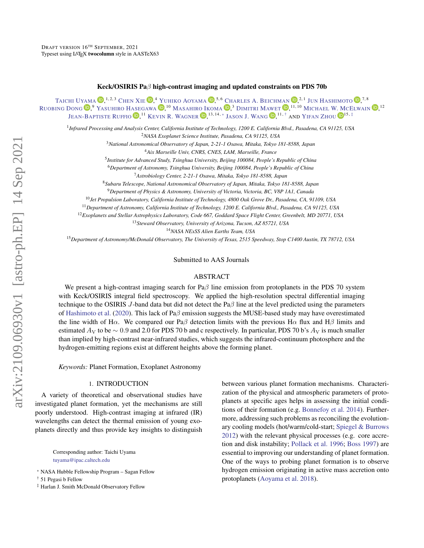# Keck/OSIRIS Paβ high-contrast imaging and updated constraints on PDS 70b

<span id="page-0-3"></span>TAICHI U[YAMA](http://orcid.org/0000-0002-6879-3030)  $\bm{\mathbb{D}},^{1,2,3}$  Chen Xie  $\bm{\mathbb{D}},^4$  Yuhiko Aoyama  $\bm{\mathbb{D}},^{5,6}$  Charles A. Beichman  $\bm{\mathbb{D}},^{2,1}$  Jun Hashimoto  $\bm{\mathbb{D}},^{7,8}$ R[UOBING](http://orcid.org/0000-0001-9290-7846) DONG <sup>(D</sup>,<sup>9</sup> Yasuhiro Hasegawa (D,<sup>10</sup> Masahiro Ikoma (D,<sup>3</sup> Dimitri Mawet (D,<sup>11,10</sup> Michael W. McElwain (D,<sup>12</sup> Jean-Baptiste Ruffio  $\blacksquare,^{11}$  Kevin R. Wagner  $\blacksquare,^{13,14,*}$  $\blacksquare,^{13,14,*}$  $\blacksquare,^{13,14,*}$  Jason [J. W](http://orcid.org/0000-0003-0774-6502)ang  $\blacksquare,^{11,+}$  and Yifan Zhou  $\blacksquare^{15,*}$ 

1 *Infrared Processing and Analysis Center, California Institute of Technology, 1200 E. California Blvd., Pasadena, CA 91125, USA* <sup>2</sup>*NASA Exoplanet Science Institute, Pasadena, CA 91125, USA*

<sup>3</sup>*National Astronomical Observatory of Japan, 2-21-1 Osawa, Mitaka, Tokyo 181-8588, Japan*

<sup>4</sup>*Aix Marseille Univ, CNRS, CNES, LAM, Marseille, France*

5 *Institute for Advanced Study, Tsinghua University, Beijing 100084, People's Republic of China*

<sup>6</sup>*Department of Astronomy, Tsinghua University, Beijing 100084, People's Republic of China*

<sup>7</sup>*Astrobiology Center, 2-21-1 Osawa, Mitaka, Tokyo 181-8588, Japan*

<sup>8</sup>*Subaru Telescope, National Astronomical Observatory of Japan, Mitaka, Tokyo 181-8588, Japan*

<sup>9</sup>*Department of Physics & Astronomy, University of Victoria, Victoria, BC, V8P 1A1, Canada*

<sup>10</sup>*Jet Propulsion Laboratory, California Institute of Technology, 4800 Oak Grove Dr., Pasadena, CA, 91109, USA*

<sup>11</sup>*Department of Astronomy, California Institute of Technology, 1200 E. California Blvd., Pasadena, CA 91125, USA*

<sup>12</sup>*Exoplanets and Stellar Astrophysics Laboratory, Code 667, Goddard Space Flight Center, Greenbelt, MD 20771, USA*

<sup>13</sup>*Steward Observatory, University of Arizona, Tucson, AZ 85721, USA*

<sup>14</sup>*NASA NExSS Alien Earths Team, USA*

<sup>15</sup>*Department of Astronomy/McDonald Observatory, The University of Texas, 2515 Speedway, Stop C1400 Austin, TX 78712, USA*

#### Submitted to AAS Journals

#### ABSTRACT

We present a high-contrast imaging search for Pa $\beta$  line emission from protoplanets in the PDS 70 system with Keck/OSIRIS integral field spectroscopy. We applied the high-resolution spectral differential imaging technique to the OSIRIS J-band data but did not detect the Pa $\beta$  line at the level predicted using the parameters of [Hashimoto et al.](#page-7-0) [\(2020\)](#page-7-0). This lack of Paβ emission suggests the MUSE-based study may have overestimated the line width of H $\alpha$ . We compared our Pa $\beta$  detection limits with the previous H $\alpha$  flux and H $\beta$  limits and estimated  $A_V$  to be ∼ 0.9 and 2.0 for PDS 70 b and c respectively. In particular, PDS 70 b's  $A_V$  is much smaller than implied by high-contrast near-infrared studies, which suggests the infrared-continuum photosphere and the hydrogen-emitting regions exist at different heights above the forming planet.

*Keywords:* Planet Formation, Exoplanet Astronomy

# 1. INTRODUCTION

A variety of theoretical and observational studies have investigated planet formation, yet the mechanisms are still poorly understood. High-contrast imaging at infrared (IR) wavelengths can detect the thermal emission of young exoplanets directly and thus provide key insights to distinguish

> Corresponding author: Taichi Uyama [tuyama@ipac.caltech.edu](mailto: tuyama@ipac.caltech.edu)

between various planet formation mechanisms. Characterization of the physical and atmospheric parameters of protoplanets at specific ages helps in assessing the initial conditions of their formation (e.g. [Bonnefoy et al.](#page-7-1) [2014\)](#page-7-1). Furthermore, addressing such problems as reconciling the evolutionary cooling models (hot/warm/cold-start; [Spiegel & Burrows](#page-7-2) [2012\)](#page-7-2) with the relevant physical processes (e.g. core accretion and disk instability; [Pollack et al.](#page-7-3) [1996;](#page-7-3) [Boss](#page-7-4) [1997\)](#page-7-4) are essential to improving our understanding of planet formation. One of the ways to probing planet formation is to observe hydrogen emission originating in active mass accretion onto protoplanets [\(Aoyama et al.](#page-7-5) [2018\)](#page-7-5).

<span id="page-0-0"></span><sup>\*</sup> NASA Hubble Fellowship Program – Sagan Fellow

<span id="page-0-1"></span><sup>†</sup> 51 Pegasi b Fellow

<span id="page-0-2"></span><sup>‡</sup> Harlan J. Smith McDonald Observatory Fellow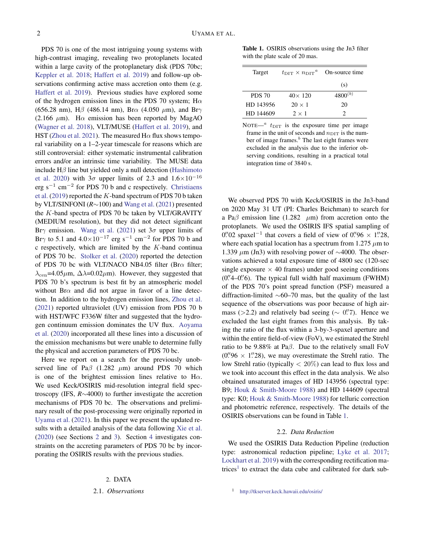PDS 70 is one of the most intriguing young systems with high-contrast imaging, revealing two protoplanets located within a large cavity of the protoplanetary disk (PDS 70bc; [Keppler et al.](#page-7-6) [2018;](#page-7-6) [Haffert et al.](#page-7-7) [2019\)](#page-7-7) and follow-up observations confirming active mass accretion onto them (e.g. [Haffert et al.](#page-7-7) [2019\)](#page-7-7). Previous studies have explored some of the hydrogen emission lines in the PDS 70 system; H $\alpha$ (656.28 nm), H $\beta$  (486.14 nm), Br $\alpha$  (4.050  $\mu$ m), and Br $\gamma$ (2.166  $\mu$ m). H $\alpha$  emission has been reported by MagAO [\(Wagner et al.](#page-7-8) [2018\)](#page-7-8), VLT/MUSE [\(Haffert et al.](#page-7-7) [2019\)](#page-7-7), and HST [\(Zhou et al.](#page-7-9) [2021\)](#page-7-9). The measured  $H\alpha$  flux shows temporal variability on a 1–2-year timescale for reasons which are still controversial: either systematic instrumental calibration errors and/or an intrinsic time variability. The MUSE data include  $H\beta$  line but yielded only a null detection [\(Hashimoto](#page-7-0) [et al.](#page-7-0) [2020\)](#page-7-0) with  $3\sigma$  upper limits of 2.3 and  $1.6\times10^{-16}$ erg s<sup>-1</sup> cm<sup>-2</sup> for PDS 70 b and c respectively. [Christiaens](#page-7-10) [et al.](#page-7-10) [\(2019\)](#page-7-10) reported the K-band spectrum of PDS 70 b taken by VLT/SINFONI (*R*∼100) and [Wang et al.](#page-7-11) [\(2021\)](#page-7-11) presented the K-band spectra of PDS 70 bc taken by VLT/GRAVITY (MEDIUM resolution), but they did not detect significant Br $\gamma$  emission. [Wang et al.](#page-7-11) [\(2021\)](#page-7-11) set  $3\sigma$  upper limits of Br $\gamma$  to 5.1 and  $4.0 \times 10^{-17}$  erg s<sup>-1</sup> cm<sup>-2</sup> for PDS 70 b and  $c$  respectively, which are limited by the  $K$ -band continual of PDS 70 bc. [Stolker et al.](#page-7-12) [\(2020\)](#page-7-12) reported the detection of PDS 70 bc with VLT/NACO NB4.05 filter (Br $\alpha$  filter;  $\lambda_{\rm cen}$ =4.05 $\mu$ m,  $\Delta\lambda$ =0.02 $\mu$ m). However, they suggested that PDS 70 b's spectrum is best fit by an atmospheric model without Br $\alpha$  and did not argue in favor of a line detection. In addition to the hydrogen emission lines, [Zhou et al.](#page-7-9) [\(2021\)](#page-7-9) reported ultraviolet (UV) emission from PDS 70 b with HST/WFC F336W filter and suggested that the hydrogen continuum emission dominates the UV flux. [Aoyama](#page-7-13) [et al.](#page-7-13) [\(2020\)](#page-7-13) incorporated all these lines into a discussion of the emission mechanisms but were unable to determine fully the physical and accretion parameters of PDS 70 bc.

Here we report on a search for the previously unobserved line of Pa $\beta$  (1.282  $\mu$ m) around PDS 70 which is one of the brightest emission lines relative to  $H\alpha$ . We used Keck/OSIRIS mid-resolution integral field spectroscopy (IFS, *R*∼4000) to further investigate the accretion mechanisms of PDS 70 bc. The observations and preliminary result of the post-processing were originally reported in [Uyama et al.](#page-7-14) [\(2021\)](#page-7-14). In this paper we present the updated results with a detailed analysis of the data following [Xie et al.](#page-7-15) [\(2020\)](#page-7-15) (see Sections [2](#page-1-0) and [3\)](#page-2-0). Section [4](#page-3-0) investigates constraints on the accreting parameters of PDS 70 bc by incorporating the OSIRIS results with the previous studies.

#### 2. DATA

#### <span id="page-1-1"></span><span id="page-1-0"></span>2.1. *Observations*

Table 1. OSIRIS observations using the Jn3 filter with the plate scale of 20 mas.

| Target        | $t_{\text{DIT}} \times n_{\text{DIT}}^{\mu}$ | On-source time |
|---------------|----------------------------------------------|----------------|
|               |                                              | (s)            |
| <b>PDS 70</b> | $40\times 120$                               | $4800^{(b)}$   |
| HD 143956     | $20 \times 1$                                | 20             |
| HD 144609     | $2 \times 1$                                 |                |

NOTE— $a$   $t_{\text{DIT}}$  is the exposure time per image frame in the unit of seconds and  $n_{\text{DIT}}$  is the number of image frames. $<sup>b</sup>$  The last eight frames were</sup> excluded in the analysis due to the inferior observing conditions, resulting in a practical total integration time of 3840 s.

We observed PDS 70 with Keck/OSIRIS in the Jn3-band on 2020 May 31 UT (PI: Charles Beichman) to search for a Pa $\beta$  emission line (1.282  $\mu$ m) from accretion onto the protoplanets. We used the OSIRIS IFS spatial sampling of 0. 02 spaxel<sup>-1</sup> that covers a field of view of 0.  $96 \times 1$ . 28, where each spatial location has a spectrum from 1.275  $\mu$ m to 1.339  $\mu$ m (Jn3) with resolving power of ~4000. The observations achieved a total exposure time of 4800 sec (120-sec single exposure  $\times$  40 frames) under good seeing conditions (0".4-0".6). The typical full width half maximum (FWHM) of the PDS 70's point spread function (PSF) measured a diffraction-limited ∼60–70 mas, but the quality of the last sequence of the observations was poor because of high airmass (>2.2) and relatively bad seeing ( $\sim$  0". Hence we excluded the last eight frames from this analysis. By taking the ratio of the flux within a 3-by-3-spaxel aperture and within the entire field-of-view (FoV), we estimated the Strehl ratio to be 9.88% at Paβ. Due to the relatively small FoV  $(0.^{\prime\prime}96 \times 1.^{\prime\prime}28)$ , we may overestimate the Strehl ratio. The low Strehl ratio (typically  $< 20\%$ ) can lead to flux loss and we took into account this effect in the data analysis. We also obtained unsaturated images of HD 143956 (spectral type: B9; [Houk & Smith-Moore](#page-7-16) [1988\)](#page-7-16) and HD 144609 (spectral type: K0; [Houk & Smith-Moore](#page-7-16) [1988\)](#page-7-16) for telluric correction and photometric reference, respectively. The details of the OSIRIS observations can be found in Table [1.](#page-1-1)

## 2.2. *Data Reduction*

<span id="page-1-2"></span>We used the OSIRIS Data Reduction Pipeline (reduction type: astronomical reduction pipeline; [Lyke et al.](#page-7-17) [2017;](#page-7-17) [Lockhart et al.](#page-7-18) [2019\)](#page-7-18) with the corresponding rectification ma-trices<sup>[1](#page-0-3)</sup> to extract the data cube and calibrated for dark sub-

<sup>1</sup> <http://tkserver.keck.hawaii.edu/osiris/>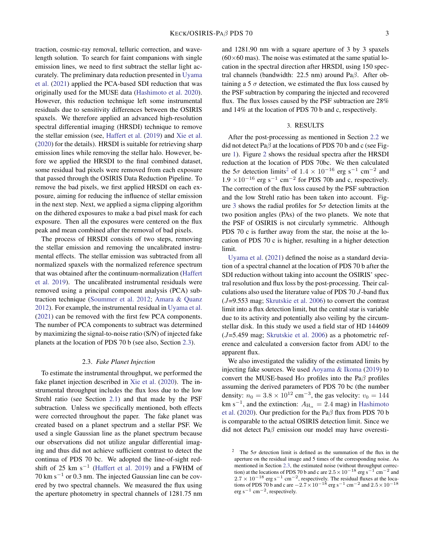traction, cosmic-ray removal, telluric correction, and wavelength solution. To search for faint companions with single emission lines, we need to first subtract the stellar light accurately. The preliminary data reduction presented in [Uyama](#page-7-14) [et al.](#page-7-14) [\(2021\)](#page-7-14) applied the PCA-based SDI reduction that was originally used for the MUSE data [\(Hashimoto et al.](#page-7-0) [2020\)](#page-7-0). However, this reduction technique left some instrumental residuals due to sensitivity differences between the OSIRIS spaxels. We therefore applied an advanced high-resolution spectral differential imaging (HRSDI) technique to remove the stellar emission (see, [Haffert et al.](#page-7-7) [\(2019\)](#page-7-7) and [Xie et al.](#page-7-15) [\(2020\)](#page-7-15) for the details). HRSDI is suitable for retrieving sharp emission lines while removing the stellar halo. However, before we applied the HRSDI to the final combined dataset, some residual bad pixels were removed from each exposure that passed through the OSIRIS Data Reduction Pipeline. To remove the bad pixels, we first applied HRSDI on each exposure, aiming for reducing the influence of stellar emission in the next step. Next, we applied a sigma clipping algorithm on the dithered exposures to make a bad pixel mask for each exposure. Then all the exposures were centered on the flux peak and mean combined after the removal of bad pixels.

The process of HRSDI consists of two steps, removing the stellar emission and removing the uncalibrated instrumental effects. The stellar emission was subtracted from all normalized spaxels with the normalized reference spectrum that was obtained after the continuum-normalization [\(Haffert](#page-7-7) [et al.](#page-7-7) [2019\)](#page-7-7). The uncalibrated instrumental residuals were removed using a principal component analysis (PCA) subtraction technique [\(Soummer et al.](#page-7-19) [2012;](#page-7-19) [Amara & Quanz](#page-7-20) [2012\)](#page-7-20). For example, the instrumental residual in [Uyama et al.](#page-7-14) [\(2021\)](#page-7-14) can be removed with the first few PCA components. The number of PCA components to subtract was determined by maximizing the signal-to-noise ratio (S/N) of injected fake planets at the location of PDS 70 b (see also, Section [2.3\)](#page-2-1).

## 2.3. *Fake Planet Injection*

<span id="page-2-1"></span>To estimate the instrumental throughput, we performed the fake planet injection described in [Xie et al.](#page-7-15) [\(2020\)](#page-7-15). The instrumental throughput includes the flux loss due to the low Strehl ratio (see Section [2.1\)](#page-1-1) and that made by the PSF subtraction. Unless we specifically mentioned, both effects were corrected throughout the paper. The fake planet was created based on a planet spectrum and a stellar PSF. We used a single Gaussian line as the planet spectrum because our observations did not utilize angular differential imaging and thus did not achieve sufficient contrast to detect the continua of PDS 70 bc. We adopted the line-of-sight red-shift of 25 km s<sup>-1</sup> [\(Haffert et al.](#page-7-7) [2019\)](#page-7-7) and a FWHM of  $70 \text{ km s}^{-1}$  or 0.3 nm. The injected Gaussian line can be covered by two spectral channels. We measured the flux using the aperture photometry in spectral channels of 1281.75 nm and 1281.90 nm with a square aperture of 3 by 3 spaxels  $(60\times60 \text{ mas})$ . The noise was estimated at the same spatial location in the spectral direction after HRSDI, using 150 spectral channels (bandwidth: 22.5 nm) around Paβ. After obtaining a 5  $\sigma$  detection, we estimated the flux loss caused by the PSF subtraction by comparing the injected and recovered flux. The flux losses caused by the PSF subtraction are 28% and 14% at the location of PDS 70 b and c, respectively.

## 3. RESULTS

<span id="page-2-0"></span>After the post-processing as mentioned in Section [2.2](#page-1-2) we did not detect Pa $\beta$  at the locations of PDS 70 b and c (see Figure [1\)](#page-3-1). Figure [2](#page-4-0) shows the residual spectra after the HRSDI reduction at the location of PDS 70bc. We then calculated the 5 $\sigma$  detection limits<sup>[2](#page-0-3)</sup> of 1.4 × 10<sup>-16</sup> erg s<sup>-1</sup> cm<sup>-2</sup> and  $1.9 \times 10^{-16}$  erg s<sup>-1</sup> cm<sup>-2</sup> for PDS 70b and c, respectively. The correction of the flux loss caused by the PSF subtraction and the low Strehl ratio has been taken into account. Fig-ure [3](#page-4-1) shows the radial profiles for  $5\sigma$  detection limits at the two position angles (PAs) of the two planets. We note that the PSF of OSIRIS is not circularly symmetric. Although PDS 70 c is further away from the star, the noise at the location of PDS 70 c is higher, resulting in a higher detection limit.

[Uyama et al.](#page-7-14) [\(2021\)](#page-7-14) defined the noise as a standard deviation of a spectral channel at the location of PDS 70 b after the SDI reduction without taking into account the OSIRIS' spectral resolution and flux loss by the post-processing. Their calculations also used the literature value of PDS 70 J-band flux  $(J=9.553$  mag; [Skrutskie et al.](#page-7-21) [2006\)](#page-7-21) to convert the contrast limit into a flux detection limit, but the central star is variable due to its activity and potentially also veiling by the circumstellar disk. In this study we used a field star of HD 144609 (J=5.459 mag; [Skrutskie et al.](#page-7-21) [2006\)](#page-7-21) as a photometric reference and calculated a conversion factor from ADU to the apparent flux.

We also investigated the validity of the estimated limits by injecting fake sources. We used [Aoyama & Ikoma](#page-7-22) [\(2019\)](#page-7-22) to convert the MUSE-based H $\alpha$  profiles into the Pa $\beta$  profiles assuming the derived parameters of PDS 70 bc (the number density:  $n_0 = 3.8 \times 10^{12} \text{ cm}^{-3}$ , the gas velocity:  $v_0 = 144$ km s<sup>-1</sup>, and the extinction:  $A_{H_{\alpha}} = 2.4$  mag) in [Hashimoto](#page-7-0) [et al.](#page-7-0) [\(2020\)](#page-7-0). Our prediction for the Pa $\beta$  flux from PDS 70 b is comparable to the actual OSIRIS detection limit. Since we did not detect Pa $\beta$  emission our model may have overesti-

<sup>&</sup>lt;sup>2</sup> The  $5\sigma$  detection limit is defined as the summation of the flux in the aperture on the residual image and 5 times of the corresponding noise. As mentioned in Section [2.3,](#page-2-1) the estimated noise (without throughput correction) at the locations of PDS 70 b and c are  $2.5 \times 10^{-18}$  erg s<sup>-1</sup> cm<sup>-2</sup> and  $2.7 \times 10^{-18}$  erg s<sup>-1</sup> cm<sup>-2</sup>, respectively. The residual fluxes at the locations of PDS 70 b and c are  $-2.7 \times 10^{-18}$  erg s<sup>-1</sup> cm<sup>-2</sup> and  $2.5 \times 10^{-18}$  $erg s<sup>-1</sup> cm<sup>-2</sup>$ , respectively.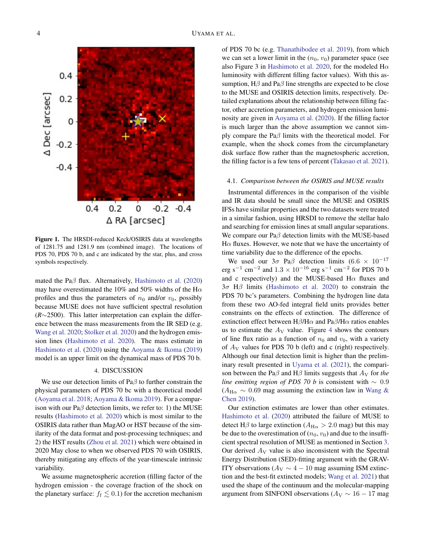

<span id="page-3-1"></span>Figure 1. The HRSDI-reduced Keck/OSIRIS data at wavelengths of 1281.75 and 1281.9 nm (combined image). The locations of PDS 70, PDS 70 b, and c are indicated by the star, plus, and cross symbols respectively.

mated the Pa $\beta$  flux. Alternatively, [Hashimoto et al.](#page-7-0) [\(2020\)](#page-7-0) may have overestimated the 10% and 50% widths of the H $\alpha$ profiles and thus the parameters of  $n_0$  and/or  $v_0$ , possibly because MUSE does not have sufficient spectral resolution (*R*∼2500). This latter interpretation can explain the difference between the mass measurements from the IR SED (e.g. [Wang et al.](#page-7-23) [2020;](#page-7-23) [Stolker et al.](#page-7-12) [2020\)](#page-7-12) and the hydrogen emission lines [\(Hashimoto et al.](#page-7-0) [2020\)](#page-7-0). The mass estimate in [Hashimoto et al.](#page-7-0) [\(2020\)](#page-7-0) using the [Aoyama & Ikoma](#page-7-22) [\(2019\)](#page-7-22) model is an upper limit on the dynamical mass of PDS 70 b.

## 4. DISCUSSION

<span id="page-3-0"></span>We use our detection limits of Pa $\beta$  to further constrain the physical parameters of PDS 70 bc with a theoretical model [\(Aoyama et al.](#page-7-5) [2018;](#page-7-5) [Aoyama & Ikoma](#page-7-22) [2019\)](#page-7-22). For a comparison with our Pa $\beta$  detection limits, we refer to: 1) the MUSE results [\(Hashimoto et al.](#page-7-0) [2020\)](#page-7-0) which is most similar to the OSIRIS data rather than MagAO or HST because of the similarity of the data format and post-processing techniques; and 2) the HST results [\(Zhou et al.](#page-7-9) [2021\)](#page-7-9) which were obtained in 2020 May close to when we observed PDS 70 with OSIRIS, thereby mitigating any effects of the year-timescale intrinsic variability.

We assume magnetospheric accretion (filling factor of the hydrogen emission - the coverage fraction of the shock on the planetary surface:  $f_f \lesssim 0.1$ ) for the accretion mechanism

of PDS 70 bc (e.g. [Thanathibodee et al.](#page-7-24) [2019\)](#page-7-24), from which we can set a lower limit in the  $(n_0, v_0)$  parameter space (see also Figure 3 in [Hashimoto et al.](#page-7-0) [2020,](#page-7-0) for the modeled  $H\alpha$ luminosity with different filling factor values). With this assumption,  $H\beta$  and Pa $\beta$  line strengths are expected to be close to the MUSE and OSIRIS detection limits, respectively. Detailed explanations about the relationship between filling factor, other accretion parameters, and hydrogen emission luminosity are given in [Aoyama et al.](#page-7-13) [\(2020\)](#page-7-13). If the filling factor is much larger than the above assumption we cannot simply compare the Pa $\beta$  limits with the theoretical model. For example, when the shock comes from the circumplanetary disk surface flow rather than the magnetospheric accretion, the filling factor is a few tens of percent [\(Takasao et al.](#page-7-25) [2021\)](#page-7-25).

#### 4.1. *Comparison between the OSIRIS and MUSE results*

Instrumental differences in the comparison of the visible and IR data should be small since the MUSE and OSIRIS IFSs have similar properties and the two datasets were treated in a similar fashion, using HRSDI to remove the stellar halo and searching for emission lines at small angular separations. We compare our Paβ detection limits with the MUSE-based  $H\alpha$  fluxes. However, we note that we have the uncertainty of time variability due to the difference of the epochs.

We used our  $3\sigma$  Pa $\beta$  detection limits (6.6 × 10<sup>-17</sup> erg s<sup>-1</sup> cm<sup>-2</sup> and  $1.3 \times 10^{-16}$  erg s<sup>-1</sup> cm<sup>-2</sup> for PDS 70 b and c respectively) and the MUSE-based H $\alpha$  fluxes and  $3\sigma$  H $\beta$  limits [\(Hashimoto et al.](#page-7-0) [2020\)](#page-7-0) to constrain the PDS 70 bc's parameters. Combining the hydrogen line data from these two AO-fed integral field units provides better constraints on the effects of extinction. The difference of extinction effect between  $H\beta/H\alpha$  and  $Pa\beta/H\alpha$  ratios enables us to estimate the  $A_V$  value. Figure [4](#page-5-0) shows the contours of line flux ratio as a function of  $n_0$  and  $v_0$ , with a variety of  $A_V$  values for PDS 70 b (left) and c (right) respectively. Although our final detection limit is higher than the preliminary result presented in [Uyama et al.](#page-7-14) [\(2021\)](#page-7-14), the comparison between the Pa $\beta$  and H $\beta$  limits suggests that  $A_V$  for *the line emitting region of PDS 70 b* is consistent with ∼ 0.9  $(A_{\text{H}\alpha} \sim 0.69 \text{ mag assuming the extinction law in Wang } \&$ [Chen](#page-7-26) [2019\)](#page-7-26).

Our extinction estimates are lower than other estimates. [Hashimoto et al.](#page-7-0) [\(2020\)](#page-7-0) attributed the failure of MUSE to detect H $\beta$  to large extinction ( $A_{H\alpha} > 2.0$  mag) but this may be due to the overestimation of  $(n_0, v_0)$  and due to the insufficient spectral resolution of MUSE as mentioned in Section [3.](#page-2-0) Our derived  $A_V$  value is also inconsistent with the Spectral Energy Distribution (SED)-fitting argument with the GRAV-ITY observations ( $A_V \sim 4 - 10$  mag assuming ISM extinction and the best-fit extincted models; [Wang et al.](#page-7-11) [2021\)](#page-7-11) that used the shape of the continuum and the molecular-mapping argument from SINFONI observations ( $A_V \sim 16 - 17$  mag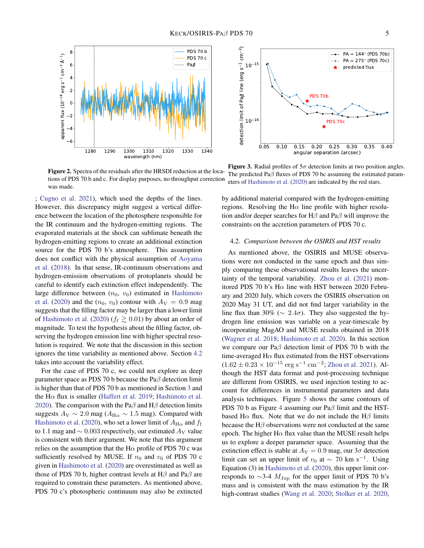



<span id="page-4-0"></span>Figure 2. Spectra of the residuals after the HRSDI reduction at the locations of PDS 70 b and c. For display purposes, no throughput correction was made.

; [Cugno et al.](#page-7-27) [2021\)](#page-7-27), which used the depths of the lines. However, this discrepancy might suggest a vertical difference between the location of the photosphere responsible for the IR continuum and the hydrogen-emitting regions. The evaporated materials at the shock can sublimate beneath the hydrogen-emitting regions to create an additional extinction source for the PDS 70 b's atmosphere. This assumption does not conflict with the physical assumption of [Aoyama](#page-7-5) [et al.](#page-7-5) [\(2018\)](#page-7-5). In that sense, IR-continuum observations and hydrogen-emission observations of protoplanets should be careful to identify each extinction effect independently. The large difference between  $(n_0, v_0)$  estimated in [Hashimoto](#page-7-0) [et al.](#page-7-0) [\(2020\)](#page-7-0) and the  $(n_0, v_0)$  contour with  $A_V = 0.9$  mag suggests that the filling factor may be larger than a lower limit of [Hashimoto et al.](#page-7-0) [\(2020\)](#page-7-0) ( $f_f \ge 0.01$ ) by about an order of magnitude. To test the hypothesis about the filling factor, observing the hydrogen emission line with higher spectral resolution is required. We note that the discussion in this section ignores the time variability as mentioned above. Section [4.2](#page-4-2) takes into account the variability effect.

For the case of PDS 70 c, we could not explore as deep parameter space as PDS 70 b because the Pa $\beta$  detection limit is higher than that of PDS 70 b as mentioned in Section [3](#page-2-0) and the H $\alpha$  flux is smaller [\(Haffert et al.](#page-7-7) [2019;](#page-7-7) [Hashimoto et al.](#page-7-0) [2020\)](#page-7-0). The comparison with the Pa $\beta$  and H $\beta$  detection limits suggests  $A_V \sim 2.0$  mag ( $A_{H\alpha} \sim 1.5$  mag). Compared with [Hashimoto et al.](#page-7-0) [\(2020\)](#page-7-0), who set a lower limit of  $A_{\text{H}\alpha}$  and  $f_{\text{f}}$ to 1.1 mag and  $\sim$  0.003 respectively, our estimated  $A_V$  value is consistent with their argument. We note that this argument relies on the assumption that the H $\alpha$  profile of PDS 70 c was sufficiently resolved by MUSE. If  $n_0$  and  $v_0$  of PDS 70 c given in [Hashimoto et al.](#page-7-0) [\(2020\)](#page-7-0) are overestimated as well as those of PDS 70 b, higher contrast levels at H $\beta$  and Pa $\beta$  are required to constrain these parameters. As mentioned above, PDS 70 c's photospheric continuum may also be extincted

<span id="page-4-1"></span>Figure 3. Radial profiles of  $5\sigma$  detection limits at two position angles. The predicted Pa $\beta$  fluxes of PDS 70 bc assuming the estimated parameters of [Hashimoto et al.](#page-7-0) [\(2020\)](#page-7-0) are indicated by the red stars.

by additional material compared with the hydrogen-emitting regions. Resolving the H $\alpha$  line profile with higher resolution and/or deeper searches for H $\beta$  and Pa $\beta$  will improve the constraints on the accretion parameters of PDS 70 c.

# <span id="page-4-2"></span>4.2. *Comparison between the OSIRIS and HST results*

As mentioned above, the OSIRIS and MUSE observations were not conducted in the same epoch and thus simply comparing these observational results leaves the uncertainty of the temporal variability. [Zhou et al.](#page-7-9) [\(2021\)](#page-7-9) monitored PDS 70 b's H $\alpha$  line with HST between 2020 February and 2020 July, which covers the OSIRIS observation on 2020 May 31 UT, and did not find larger variability in the line flux than 30% ( $\sim 2.4\sigma$ ). They also suggested the hydrogen line emission was variable on a year-timescale by incorporating MagAO and MUSE results obtained in 2018 [\(Wagner et al.](#page-7-8) [2018;](#page-7-8) [Hashimoto et al.](#page-7-0) [2020\)](#page-7-0). In this section we compare our Paβ detection limit of PDS 70 b with the time-averaged  $H\alpha$  flux estimated from the HST observations  $(1.62 \pm 0.23 \times 10^{-15} \text{ erg s}^{-1} \text{ cm}^{-2})$ ; [Zhou et al.](#page-7-9) [2021\)](#page-7-9). Although the HST data format and post-processing technique are different from OSIRIS, we used injection testing to account for differences in instrumental parameters and data analysis techniques. Figure [5](#page-5-1) shows the same contours of PDS 70 b as Figure [4](#page-5-0) assuming our Paβ limit and the HSTbased H $\alpha$  flux. Note that we do not include the H $\beta$  limits because the  $H\beta$  observations were not conducted at the same epoch. The higher H $\alpha$  flux value than the MUSE result helps us to explore a deeper parameter space. Assuming that the extinction effect is stable at  $A_V = 0.9$  mag, our  $3\sigma$  detection limit can set an upper limit of  $v_0$  at  $\sim 70$  km s<sup>-1</sup>. Using Equation (3) in [Hashimoto et al.](#page-7-0) [\(2020\)](#page-7-0), this upper limit corresponds to  $\sim$ 3-4  $M_{\rm Jup}$  for the upper limit of PDS 70 b's mass and is consistent with the mass estimation by the IR high-contrast studies [\(Wang et al.](#page-7-23) [2020;](#page-7-23) [Stolker et al.](#page-7-12) [2020,](#page-7-12)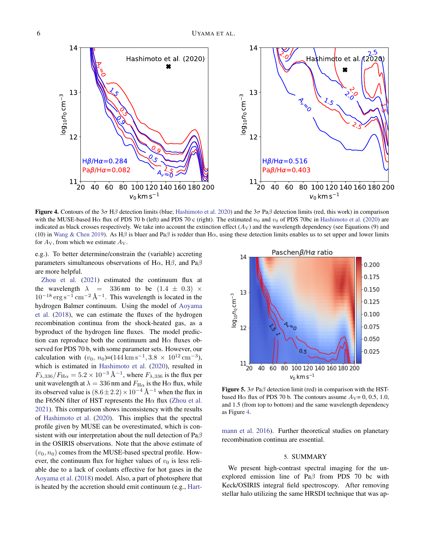

<span id="page-5-0"></span>**Figure 4.** Contours of the  $3\sigma$  H $\beta$  detection limits (blue; [Hashimoto et al.](#page-7-0) [2020\)](#page-7-0) and the  $3\sigma$  Pa $\beta$  detection limits (red, this work) in comparison with the MUSE-based H $\alpha$  flux of PDS 70 b (left) and PDS 70 c (right). The estimated  $n_0$  and  $v_0$  of PDS 70bc in [Hashimoto et al.](#page-7-0) [\(2020\)](#page-7-0) are indicated as black crosses respectively. We take into account the extinction effect  $(A_V)$  and the wavelength dependency (see Equations (9) and (10) in [Wang & Chen](#page-7-26) [2019\)](#page-7-26). As H $\beta$  is bluer and Pa $\beta$  is redder than H $\alpha$ , using these detection limits enables us to set upper and lower limits for  $A_V$ , from which we estimate  $A_V$ .

e.g.). To better determine/constrain the (variable) accreting parameters simultaneous observations of H $\alpha$ , H $\beta$ , and Pa $\beta$ are more helpful.

[Zhou et al.](#page-7-9) [\(2021\)](#page-7-9) estimated the continuum flux at the wavelength  $\lambda$  = 336 nm to be  $(1.4 \pm 0.3) \times$  $10^{-18}$  erg s<sup>-1</sup> cm<sup>-2</sup> Å<sup>-1</sup>. This wavelength is located in the hydrogen Balmer continuum. Using the model of [Aoyama](#page-7-5) [et al.](#page-7-5) [\(2018\)](#page-7-5), we can estimate the fluxes of the hydrogen recombination continua from the shock-heated gas, as a byproduct of the hydrogen line fluxes. The model prediction can reproduce both the continuum and  $H\alpha$  fluxes observed for PDS 70 b, with some parameter sets. However, our calculation with  $(v_0, n_0) = (144 \,\mathrm{km \, s^{-1}}, 3.8 \times 10^{12} \,\mathrm{cm^{-3}})$ , which is estimated in [Hashimoto et al.](#page-7-0) [\(2020\)](#page-7-0), resulted in  $F_{\lambda,336}/F_{\text{H}\alpha} = 5.2 \times 10^{-3} \text{ Å}^{-1}$ , where  $F_{\lambda,336}$  is the flux per unit wavelength at  $\lambda = 336$  nm and  $F_{\text{H}\alpha}$  is the H $\alpha$  flux, while its observed value is  $(8.6 \pm 2.2) \times 10^{-4}$  Å<sup>-1</sup> when the flux in the F656N filter of HST represents the H $\alpha$  flux [\(Zhou et al.](#page-7-9) [2021\)](#page-7-9). This comparison shows inconsistency with the results of [Hashimoto et al.](#page-7-0) [\(2020\)](#page-7-0). This implies that the spectral profile given by MUSE can be overestimated, which is consistent with our interpretation about the null detection of  $Pa\beta$ in the OSIRIS observations. Note that the above estimate of  $(v_0, n_0)$  comes from the MUSE-based spectral profile. However, the continuum flux for higher values of  $v_0$  is less reliable due to a lack of coolants effective for hot gases in the [Aoyama et al.](#page-7-5) [\(2018\)](#page-7-5) model. Also, a part of photosphere that is heated by the accretion should emit continuum (e.g., [Hart-](#page-7-28)



<span id="page-5-1"></span>**Figure 5.**  $3\sigma$  Pa $\beta$  detection limit (red) in comparison with the HSTbased H $\alpha$  flux of PDS 70 b. The contours assume  $A_V = 0, 0.5, 1.0,$ and 1.5 (from top to bottom) and the same wavelength dependency as Figure [4.](#page-5-0)

[mann et al.](#page-7-28) [2016\)](#page-7-28). Further theoretical studies on planetary recombination continua are essential.

## 5. SUMMARY

We present high-contrast spectral imaging for the unexplored emission line of Pa $\beta$  from PDS 70 bc with Keck/OSIRIS integral field spectroscopy. After removing stellar halo utilizing the same HRSDI technique that was ap-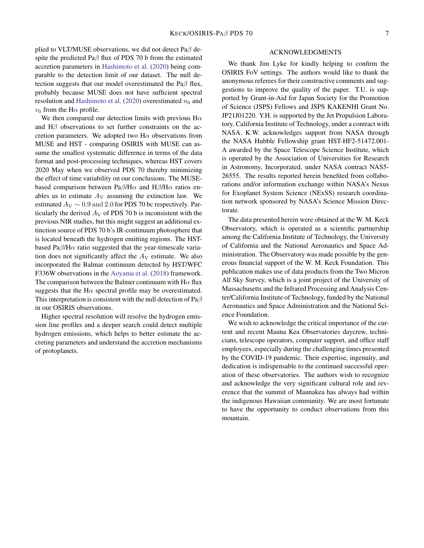plied to VLT/MUSE observations, we did not detect Pa $\beta$  despite the predicted Pa $\beta$  flux of PDS 70 b from the estimated accretion parameters in [Hashimoto et al.](#page-7-0) [\(2020\)](#page-7-0) being comparable to the detection limit of our dataset. The null detection suggests that our model overestimated the Pa $\beta$  flux, probably because MUSE does not have sufficient spectral resolution and [Hashimoto et al.](#page-7-0) [\(2020\)](#page-7-0) overestimated  $n_0$  and  $v_0$  from the H $\alpha$  profile.

We then compared our detection limits with previous  $H\alpha$ and  $H\beta$  observations to set further constraints on the accretion parameters. We adopted two H $\alpha$  observations from MUSE and HST - comparing OSIRIS with MUSE can assume the smallest systematic difference in terms of the data format and post-processing techniques, whereas HST covers 2020 May when we observed PDS 70 thereby minimizing the effect of time variability on our conclusions. The MUSEbased comparison between  $Pa\beta/H\alpha$  and  $H\beta/H\alpha$  ratios enables us to estimate  $A_V$  assuming the extinction law. We estimated  $A_V \sim 0.9$  and 2.0 for PDS 70 bc respectively. Particularly the derived  $A_V$  of PDS 70 b is inconsistent with the previous NIR studies, but this might suggest an additional extinction source of PDS 70 b's IR-continuum photosphere that is located beneath the hydrogen emitting regions. The HSTbased Pa $\beta$ /H $\alpha$  ratio suggested that the year-timescale variation does not significantly affect the  $A_V$  estimate. We also incorporated the Balmar continuum detected by HST/WFC F336W observations in the [Aoyama et al.](#page-7-5) [\(2018\)](#page-7-5) framework. The comparison between the Balmer continuum with  $H\alpha$  flux suggests that the H $\alpha$  spectral profile may be overestimated. This interpretation is consistent with the null detection of  $Pa\beta$ in our OSIRIS observations.

Higher spectral resolution will resolve the hydrogen emission line profiles and a deeper search could detect multiple hydrogen emissions, which helps to better estimate the accreting parameters and understand the accretion mechanisms of protoplanets.

### ACKNOWLEDGMENTS

We thank Jim Lyke for kindly helping to confirm the OSIRIS FoV settings. The authors would like to thank the anonymous referees for their constructive comments and suggestions to improve the quality of the paper. T.U. is supported by Grant-in-Aid for Japan Society for the Promotion of Science (JSPS) Fellows and JSPS KAKENHI Grant No. JP21J01220. Y.H. is supported by the Jet Propulsion Laboratory, California Institute of Technology, under a contract with NASA. K.W. acknowledges support from NASA through the NASA Hubble Fellowship grant HST-HF2-51472.001- A awarded by the Space Telescope Science Institute, which is operated by the Association of Universities for Research in Astronomy, Incorporated, under NASA contract NAS5- 26555. The results reported herein benefited from collaborations and/or information exchange within NASA's Nexus for Exoplanet System Science (NExSS) research coordination network sponsored by NASA's Science Mission Directorate.

The data presented herein were obtained at the W. M. Keck Observatory, which is operated as a scientific partnership among the California Institute of Technology, the University of California and the National Aeronautics and Space Administration. The Observatory was made possible by the generous financial support of the W. M. Keck Foundation. This publication makes use of data products from the Two Micron All Sky Survey, which is a joint project of the University of Massachusetts and the Infrared Processing and Analysis Center/California Institute of Technology, funded by the National Aeronautics and Space Administration and the National Science Foundation.

We wish to acknowledge the critical importance of the current and recent Mauna Kea Observatories daycrew, technicians, telescope operators, computer support, and office staff employees, especially during the challenging times presented by the COVID-19 pandemic. Their expertise, ingenuity, and dedication is indispensable to the continued successful operation of these observatories. The authors wish to recognize and acknowledge the very significant cultural role and reverence that the summit of Maunakea has always had within the indigenous Hawaiian community. We are most fortunate to have the opportunity to conduct observations from this mountain.